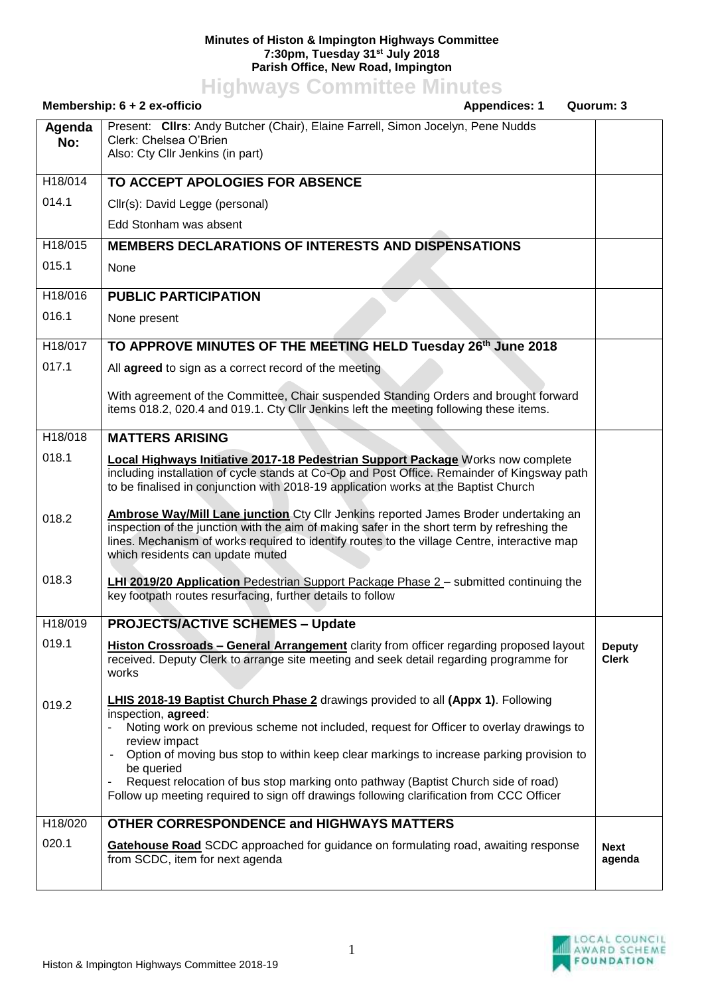## **Minutes of Histon & Impington Highways Committee 7:30pm, Tuesday 31st July 2018 Parish Office, New Road, Impington**

**Highways Committee Minutes**

|               | Membership: 6 + 2 ex-officio<br><b>Appendices: 1</b>                                                                                                                                                                                                                                                                                                                                                                                                                                                                                    | Quorum: 3                     |
|---------------|-----------------------------------------------------------------------------------------------------------------------------------------------------------------------------------------------------------------------------------------------------------------------------------------------------------------------------------------------------------------------------------------------------------------------------------------------------------------------------------------------------------------------------------------|-------------------------------|
| Agenda<br>No: | Present: Clirs: Andy Butcher (Chair), Elaine Farrell, Simon Jocelyn, Pene Nudds<br>Clerk: Chelsea O'Brien<br>Also: Cty Cllr Jenkins (in part)                                                                                                                                                                                                                                                                                                                                                                                           |                               |
| H18/014       | TO ACCEPT APOLOGIES FOR ABSENCE                                                                                                                                                                                                                                                                                                                                                                                                                                                                                                         |                               |
| 014.1         | Cllr(s): David Legge (personal)                                                                                                                                                                                                                                                                                                                                                                                                                                                                                                         |                               |
|               | Edd Stonham was absent                                                                                                                                                                                                                                                                                                                                                                                                                                                                                                                  |                               |
| H18/015       | <b>MEMBERS DECLARATIONS OF INTERESTS AND DISPENSATIONS</b>                                                                                                                                                                                                                                                                                                                                                                                                                                                                              |                               |
| 015.1         | None                                                                                                                                                                                                                                                                                                                                                                                                                                                                                                                                    |                               |
| H18/016       | <b>PUBLIC PARTICIPATION</b>                                                                                                                                                                                                                                                                                                                                                                                                                                                                                                             |                               |
| 016.1         | None present                                                                                                                                                                                                                                                                                                                                                                                                                                                                                                                            |                               |
| H18/017       | TO APPROVE MINUTES OF THE MEETING HELD Tuesday 26th June 2018                                                                                                                                                                                                                                                                                                                                                                                                                                                                           |                               |
| 017.1         | All agreed to sign as a correct record of the meeting                                                                                                                                                                                                                                                                                                                                                                                                                                                                                   |                               |
|               | With agreement of the Committee, Chair suspended Standing Orders and brought forward<br>items 018.2, 020.4 and 019.1. Cty Cllr Jenkins left the meeting following these items.                                                                                                                                                                                                                                                                                                                                                          |                               |
| H18/018       | <b>MATTERS ARISING</b>                                                                                                                                                                                                                                                                                                                                                                                                                                                                                                                  |                               |
| 018.1         | Local Highways Initiative 2017-18 Pedestrian Support Package Works now complete<br>including installation of cycle stands at Co-Op and Post Office. Remainder of Kingsway path<br>to be finalised in conjunction with 2018-19 application works at the Baptist Church                                                                                                                                                                                                                                                                   |                               |
| 018.2         | <b>Ambrose Way/Mill Lane junction</b> Cty Cllr Jenkins reported James Broder undertaking an<br>inspection of the junction with the aim of making safer in the short term by refreshing the<br>lines. Mechanism of works required to identify routes to the village Centre, interactive map<br>which residents can update muted                                                                                                                                                                                                          |                               |
| 018.3         | <b>LHI 2019/20 Application Pedestrian Support Package Phase 2 - submitted continuing the</b><br>key footpath routes resurfacing, further details to follow                                                                                                                                                                                                                                                                                                                                                                              |                               |
| H18/019       | <b>PROJECTS/ACTIVE SCHEMES - Update</b>                                                                                                                                                                                                                                                                                                                                                                                                                                                                                                 |                               |
| 019.1         | <b>Histon Crossroads - General Arrangement</b> clarity from officer regarding proposed layout<br>received. Deputy Clerk to arrange site meeting and seek detail regarding programme for<br>works                                                                                                                                                                                                                                                                                                                                        | <b>Deputy</b><br><b>Clerk</b> |
| 019.2         | <b>LHIS 2018-19 Baptist Church Phase 2</b> drawings provided to all (Appx 1). Following<br>inspection, agreed:<br>Noting work on previous scheme not included, request for Officer to overlay drawings to<br>review impact<br>Option of moving bus stop to within keep clear markings to increase parking provision to<br>be queried<br>Request relocation of bus stop marking onto pathway (Baptist Church side of road)<br>$\blacksquare$<br>Follow up meeting required to sign off drawings following clarification from CCC Officer |                               |
| H18/020       | <b>OTHER CORRESPONDENCE and HIGHWAYS MATTERS</b>                                                                                                                                                                                                                                                                                                                                                                                                                                                                                        |                               |
| 020.1         | Gatehouse Road SCDC approached for guidance on formulating road, awaiting response<br>from SCDC, item for next agenda                                                                                                                                                                                                                                                                                                                                                                                                                   | <b>Next</b><br>agenda         |